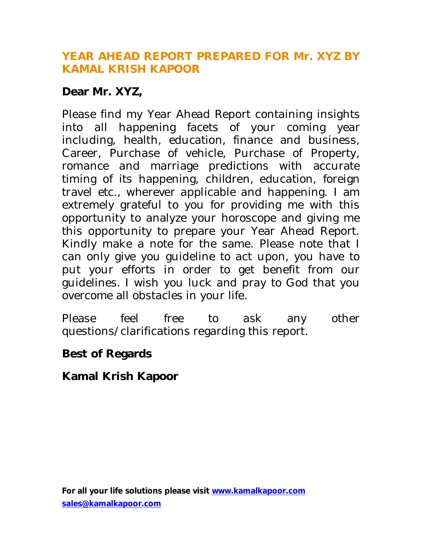### **YEAR AHEAD REPORT PREPARED FOR Mr. XYZ BY KAMAL KRISH KAPOOR**

## **Dear Mr. XYZ,**

Please find my Year Ahead Report containing insights into all happening facets of your coming year including, health, education, finance and business, Career, Purchase of vehicle, Purchase of Property, romance and marriage predictions with accurate timing of its happening, children, education, foreign travel etc., wherever applicable and happening. I am extremely grateful to you for providing me with this opportunity to analyze your horoscope and giving me this opportunity to prepare your Year Ahead Report. Kindly make a note for the same. Please note that I can only give you guideline to act upon, you have to put your efforts in order to get benefit from our guidelines. I wish you luck and pray to God that you overcome all obstacles in your life.

Please feel free to ask any other questions/clarifications regarding this report.

### **Best of Regards**

**Kamal Krish Kapoor**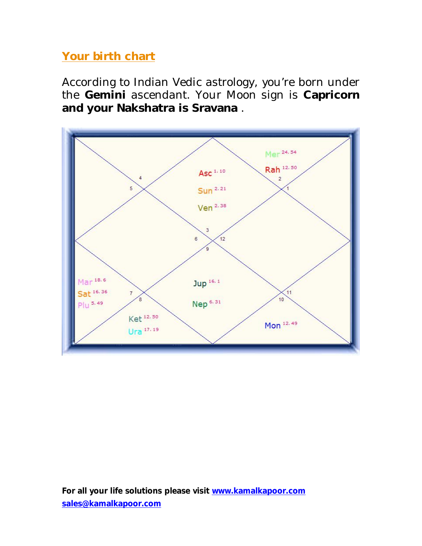# **Your birth chart**

According to Indian Vedic astrology, you're born under the **Gemini** ascendant. Your Moon sign is **Capricorn and your Nakshatra is Sravana** .

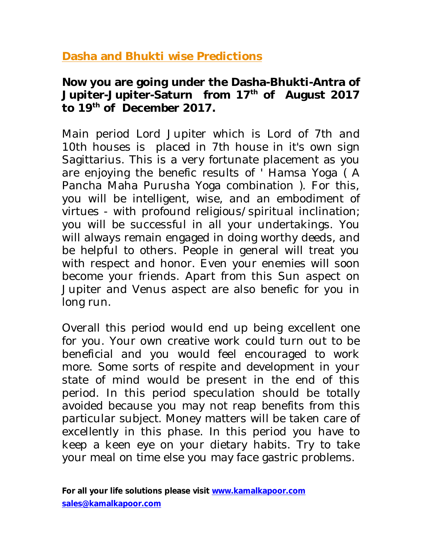**Dasha and Bhukti wise Predictions**

### **Now you are going under the Dasha-Bhukti-Antra of Jupiter-Jupiter-Saturn from 17th of August 2017 to 19 th of December 2017.**

Main period Lord Jupiter which is Lord of 7th and 10th houses is placed in 7th house in it's own sign Sagittarius. This is a very fortunate placement as you are enjoying the benefic results of ' Hamsa Yoga ( A Pancha Maha Purusha Yoga combination ). For this, you will be intelligent, wise, and an embodiment of virtues - with profound religious/spiritual inclination; you will be successful in all your undertakings. You will always remain engaged in doing worthy deeds, and be helpful to others. People in general will treat you with respect and honor. Even your enemies will soon become your friends. Apart from this Sun aspect on Jupiter and Venus aspect are also benefic for you in long run.

Overall this period would end up being excellent one for you. Your own creative work could turn out to be beneficial and you would feel encouraged to work more. Some sorts of respite and development in your state of mind would be present in the end of this period. In this period speculation should be totally avoided because you may not reap benefits from this particular subject. Money matters will be taken care of excellently in this phase. In this period you have to keep a keen eye on your dietary habits. Try to take your meal on time else you may face gastric problems.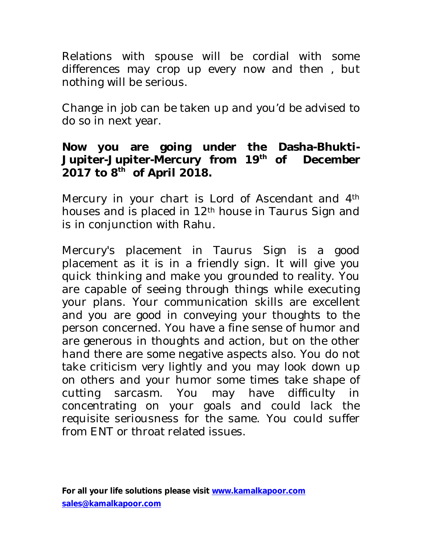Relations with spouse will be cordial with some differences may crop up every now and then , but nothing will be serious.

Change in job can be taken up and you'd be advised to do so in next year.

### **Now you are going under the Dasha-Bhukti-Jupiter-Jupiter-Mercury from 19th of December 2017 to 8th of April 2018.**

Mercury in your chart is Lord of Ascendant and 4<sup>th</sup> houses and is placed in 12th house in Taurus Sign and is in conjunction with Rahu.

Mercury's placement in Taurus Sign is a good placement as it is in a friendly sign. It will give you quick thinking and make you grounded to reality. You are capable of seeing through things while executing your plans. Your communication skills are excellent and you are good in conveying your thoughts to the person concerned. You have a fine sense of humor and are generous in thoughts and action, but on the other hand there are some negative aspects also. You do not take criticism very lightly and you may look down up on others and your humor some times take shape of cutting sarcasm. You may have difficulty in concentrating on your goals and could lack the requisite seriousness for the same. You could suffer from ENT or throat related issues.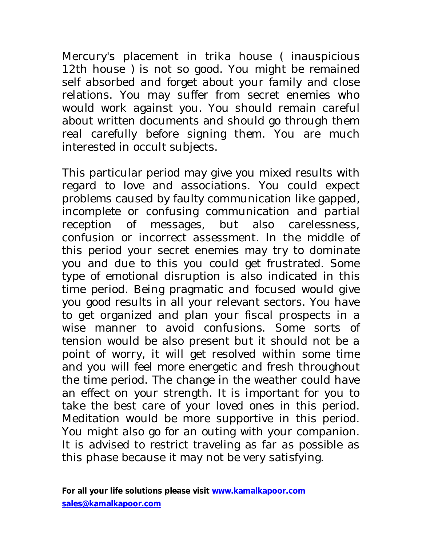Mercury's placement in trika house ( inauspicious 12th house ) is not so good. You might be remained self absorbed and forget about your family and close relations. You may suffer from secret enemies who would work against you. You should remain careful about written documents and should go through them real carefully before signing them. You are much interested in occult subjects.

This particular period may give you mixed results with regard to love and associations. You could expect problems caused by faulty communication like gapped, incomplete or confusing communication and partial reception of messages, but also carelessness, confusion or incorrect assessment. In the middle of this period your secret enemies may try to dominate you and due to this you could get frustrated. Some type of emotional disruption is also indicated in this time period. Being pragmatic and focused would give you good results in all your relevant sectors. You have to get organized and plan your fiscal prospects in a wise manner to avoid confusions. Some sorts of tension would be also present but it should not be a point of worry, it will get resolved within some time and you will feel more energetic and fresh throughout the time period. The change in the weather could have an effect on your strength. It is important for you to take the best care of your loved ones in this period. Meditation would be more supportive in this period. You might also go for an outing with your companion. It is advised to restrict traveling as far as possible as this phase because it may not be very satisfying.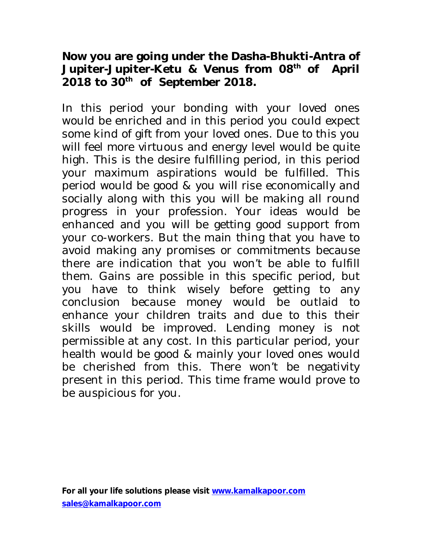### **Now you are going under the Dasha-Bhukti-Antra of Jupiter-Jupiter-Ketu & Venus from 08th of April 2018 to 30th of September 2018.**

In this period your bonding with your loved ones would be enriched and in this period you could expect some kind of gift from your loved ones. Due to this you will feel more virtuous and energy level would be quite high. This is the desire fulfilling period, in this period your maximum aspirations would be fulfilled. This period would be good & you will rise economically and socially along with this you will be making all round progress in your profession. Your ideas would be enhanced and you will be getting good support from your co-workers. But the main thing that you have to avoid making any promises or commitments because there are indication that you won't be able to fulfill them. Gains are possible in this specific period, but you have to think wisely before getting to any conclusion because money would be outlaid to enhance your children traits and due to this their skills would be improved. Lending money is not permissible at any cost. In this particular period, your health would be good & mainly your loved ones would be cherished from this. There won't be negativity present in this period. This time frame would prove to be auspicious for you.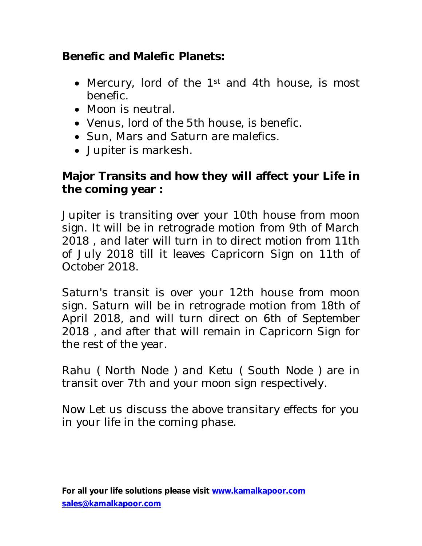# **Benefic and Malefic Planets:**

- Mercury, lord of the 1<sup>st</sup> and 4th house, is most benefic.
- Moon is neutral.
- Venus, lord of the 5th house, is benefic.
- Sun, Mars and Saturn are malefics.
- Jupiter is markesh.

## **Major Transits and how they will affect your Life in the coming year :**

Jupiter is transiting over your 10th house from moon sign. It will be in retrograde motion from 9th of March 2018 , and later will turn in to direct motion from 11th of July 2018 till it leaves Capricorn Sign on 11th of October 2018.

Saturn's transit is over your 12th house from moon sign. Saturn will be in retrograde motion from 18th of April 2018, and will turn direct on 6th of September 2018 , and after that will remain in Capricorn Sign for the rest of the year.

Rahu ( North Node ) and Ketu ( South Node ) are in transit over 7th and your moon sign respectively.

Now Let us discuss the above transitary effects for you in your life in the coming phase.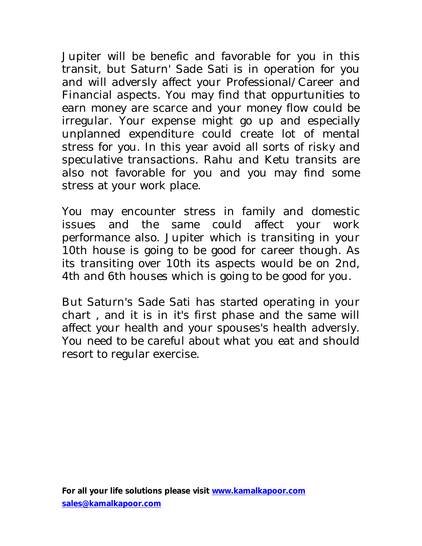Jupiter will be benefic and favorable for you in this transit, but Saturn' Sade Sati is in operation for you and will adversly affect your Professional/Career and Financial aspects. You may find that oppurtunities to earn money are scarce and your money flow could be irregular. Your expense might go up and especially unplanned expenditure could create lot of mental stress for you. In this year avoid all sorts of risky and speculative transactions. Rahu and Ketu transits are also not favorable for you and you may find some stress at your work place.

You may encounter stress in family and domestic issues and the same could affect your work performance also. Jupiter which is transiting in your 10th house is going to be good for career though. As its transiting over 10th its aspects would be on 2nd, 4th and 6th houses which is going to be good for you.

But Saturn's Sade Sati has started operating in your chart , and it is in it's first phase and the same will affect your health and your spouses's health adversly. You need to be careful about what you eat and should resort to regular exercise.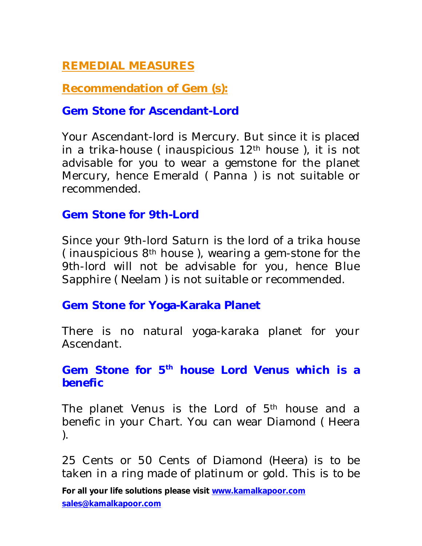# **REMEDIAL MEASURES**

**Recommendation of Gem (s):**

#### **Gem Stone for Ascendant-Lord**

Your Ascendant-lord is Mercury. But since it is placed in a trika-house ( inauspicious 12th house ), it is not advisable for you to wear a gemstone for the planet Mercury, hence Emerald ( Panna ) is not suitable or recommended.

#### **Gem Stone for 9th-Lord**

Since your 9th-lord Saturn is the lord of a trika house (inauspicious  $8<sup>th</sup>$  house), wearing a gem-stone for the 9th-lord will not be advisable for you, hence Blue Sapphire ( Neelam ) is not suitable or recommended.

### **Gem Stone for Yoga-Karaka Planet**

There is no natural yoga-karaka planet for your Ascendant.

### **Gem Stone for 5th house Lord Venus which is a benefic**

The planet Venus is the Lord of 5<sup>th</sup> house and a benefic in your Chart. You can wear Diamond ( Heera ).

25 Cents or 50 Cents of Diamond (Heera) is to be taken in a ring made of platinum or gold. This is to be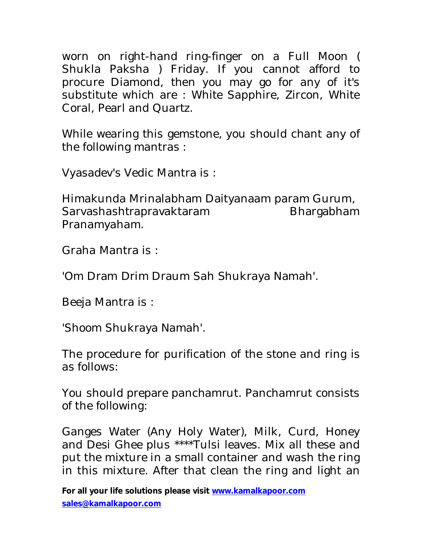worn on right-hand ring-finger on a Full Moon ( Shukla Paksha ) Friday. If you cannot afford to procure Diamond, then you may go for any of it's substitute which are : White Sapphire, Zircon, White Coral, Pearl and Quartz.

While wearing this gemstone, you should chant any of the following mantras :

Vyasadev's Vedic Mantra is :

Himakunda Mrinalabham Daityanaam param Gurum, Sarvashashtrapravaktaram Bhargabham Pranamyaham.

Graha Mantra is :

'Om Dram Drim Draum Sah Shukraya Namah'.

Beeja Mantra is :

'Shoom Shukraya Namah'.

The procedure for purification of the stone and ring is as follows:

You should prepare panchamrut. Panchamrut consists of the following:

Ganges Water (Any Holy Water), Milk, Curd, Honey and Desi Ghee plus \*\*\*\*Tulsi leaves. Mix all these and put the mixture in a small container and wash the ring in this mixture. After that clean the ring and light an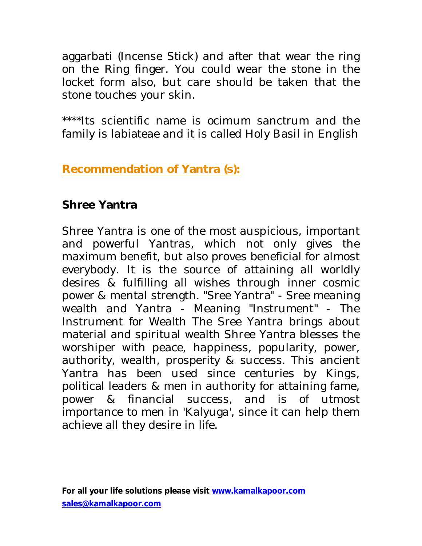aggarbati (Incense Stick) and after that wear the ring on the Ring finger. You could wear the stone in the locket form also, but care should be taken that the stone touches your skin.

\*\*\*\*Its scientific name is ocimum sanctrum and the family is labiateae and it is called Holy Basil in English

**Recommendation of Yantra (s):**

## **Shree Yantra**

Shree Yantra is one of the most auspicious, important and powerful Yantras, which not only gives the maximum benefit, but also proves beneficial for almost everybody. It is the source of attaining all worldly desires & fulfilling all wishes through inner cosmic power & mental strength. "Sree Yantra" - Sree meaning wealth and Yantra - Meaning "Instrument" - The Instrument for Wealth The Sree Yantra brings about material and spiritual wealth Shree Yantra blesses the worshiper with peace, happiness, popularity, power, authority, wealth, prosperity & success. This ancient Yantra has been used since centuries by Kings, political leaders & men in authority for attaining fame, power & financial success, and is of utmost importance to men in 'Kalyuga', since it can help them achieve all they desire in life.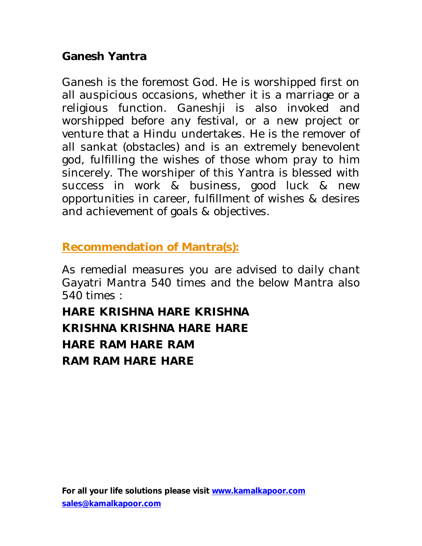### **Ganesh Yantra**

Ganesh is the foremost God. He is worshipped first on all auspicious occasions, whether it is a marriage or a religious function. Ganeshji is also invoked and worshipped before any festival, or a new project or venture that a Hindu undertakes. He is the remover of all sankat (obstacles) and is an extremely benevolent god, fulfilling the wishes of those whom pray to him sincerely. The worshiper of this Yantra is blessed with success in work & business, good luck & new opportunities in career, fulfillment of wishes & desires and achievement of goals & objectives.

# **Recommendation of Mantra(s):**

As remedial measures you are advised to daily chant Gayatri Mantra 540 times and the below Mantra also 540 times :

**HARE KRISHNA HARE KRISHNA KRISHNA KRISHNA HARE HARE HARE RAM HARE RAM RAM RAM HARE HARE**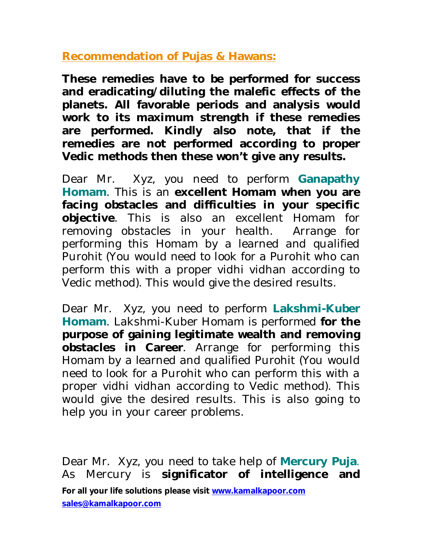**Recommendation of Pujas & Hawans:**

**These remedies have to be performed for success and eradicating/diluting the malefic effects of the planets. All favorable periods and analysis would work to its maximum strength if these remedies are performed. Kindly also note, that if the remedies are not performed according to proper Vedic methods then these won't give any results.**

Dear Mr. Xyz, you need to perform **Ganapathy Homam**. This is an **excellent Homam when you are facing obstacles and difficulties in your specific objective**. This is also an excellent Homam for removing obstacles in your health. Arrange for performing this Homam by a learned and qualified Purohit (You would need to look for a Purohit who can perform this with a proper vidhi vidhan according to Vedic method). This would give the desired results.

Dear Mr. Xyz, you need to perform **Lakshmi-Kuber Homam**. Lakshmi-Kuber Homam is performed **for the purpose of gaining legitimate wealth and removing obstacles in Career**. Arrange for performing this Homam by a learned and qualified Purohit (You would need to look for a Purohit who can perform this with a proper vidhi vidhan according to Vedic method). This would give the desired results. This is also going to help you in your career problems.

**For all your life solutions please visit www.kamalkapoor.com sales@kamalkapoor.com** Dear Mr. Xyz, you need to take help of **Mercury Puja**. As Mercury is **significator of intelligence and**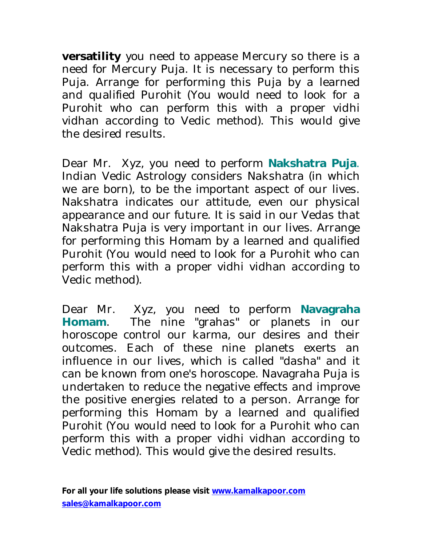**versatility** you need to appease Mercury so there is a need for Mercury Puja. It is necessary to perform this Puja. Arrange for performing this Puja by a learned and qualified Purohit (You would need to look for a Purohit who can perform this with a proper vidhi vidhan according to Vedic method). This would give the desired results.

Dear Mr. Xyz, you need to perform **Nakshatra Puja**. Indian Vedic Astrology considers Nakshatra (in which we are born), to be the important aspect of our lives. Nakshatra indicates our attitude, even our physical appearance and our future. It is said in our Vedas that Nakshatra Puja is very important in our lives. Arrange for performing this Homam by a learned and qualified Purohit (You would need to look for a Purohit who can perform this with a proper vidhi vidhan according to Vedic method).

Dear Mr. Xyz, you need to perform **Navagraha Homam**. The nine "grahas" or planets in our horoscope control our karma, our desires and their outcomes. Each of these nine planets exerts an influence in our lives, which is called "dasha" and it can be known from one's horoscope. Navagraha Puja is undertaken to reduce the negative effects and improve the positive energies related to a person. Arrange for performing this Homam by a learned and qualified Purohit (You would need to look for a Purohit who can perform this with a proper vidhi vidhan according to Vedic method). This would give the desired results.